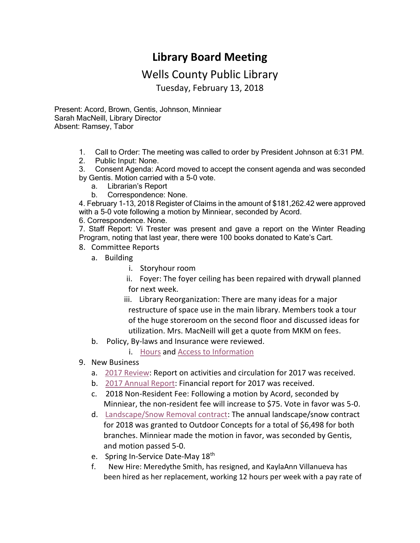## **Library Board Meeting**

## Wells County Public Library

Tuesday, February 13, 2018

Present: Acord, Brown, Gentis, Johnson, Minniear Sarah MacNeill, Library Director Absent: Ramsey, Tabor

- 1. Call to Order: The meeting was called to order by President Johnson at 6:31 PM.
- 2. Public Input: None.
- 3. Consent Agenda: Acord moved to accept the consent agenda and was seconded by Gentis. Motion carried with a 5-0 vote.
	- a. [Librarian's Report](http://www.wellscolibrary.org/board/agenda_files/Librarian%20Report.pdf)
	- b. Correspondence: None.

4. February 1-13, 2018 Register of Claims in the amount of \$181,262.42 were approved with a 5-0 vote following a motion by Minniear, seconded by Acord.

6. Correspondence. None.

7. Staff Report: Vi Trester was present and gave a report on the Winter Reading Program, noting that last year, there were 100 books donated to Kate's Cart.

- 8. Committee Reports
	- a. Building
		- i. Storyhour room

 ii. Foyer: The foyer ceiling has been repaired with drywall planned for next week.

- iii. Library Reorganization: There are many ideas for a major restructure of space use in the main library. Members took a tour of the huge storeroom on the second floor and discussed ideas for utilization. Mrs. MacNeill will get a quote from MKM on fees.
- b. Policy, By-laws and Insurance were reviewed.

i. [Hours](http://www.wellscolibrary.org/board/WCPL%20Policies/Library%20Policy/Hours,%20Closings,%20and%20Cancellations%20Policy.pdf) and [Access to Information](http://www.wellscolibrary.org/board/WCPL%20Policies/Library%20Policy/Access%20to%20Information%20Policy.pdf)

- 9. New Business
	- a. [2017 Review:](http://www.wellscolibrary.org/board/agenda_files/2017%20in%20Review.pdf) Report on activities and circulation for 2017 was received.
	- b. [2017 Annual Report:](http://www.wellscolibrary.org/board/agenda_files/Annual%20Report.pdf) Financial report for 2017 was received.
	- c. 2018 Non-Resident Fee: Following a motion by Acord, seconded by Minniear, the non-resident fee will increase to \$75. Vote in favor was 5-0.
	- d. [Landscape/Snow Removal contract:](http://www.wellscolibrary.org/board/agenda_files/Landscaping%20Contract.pdf) The annual landscape/snow contract for 2018 was granted to Outdoor Concepts for a total of \$6,498 for both branches. Minniear made the motion in favor, was seconded by Gentis, and motion passed 5-0.
	- e. Spring In-Service Date-May 18<sup>th</sup>
	- f. New Hire: Meredythe Smith, has resigned, and KaylaAnn Villanueva has been hired as her replacement, working 12 hours per week with a pay rate of